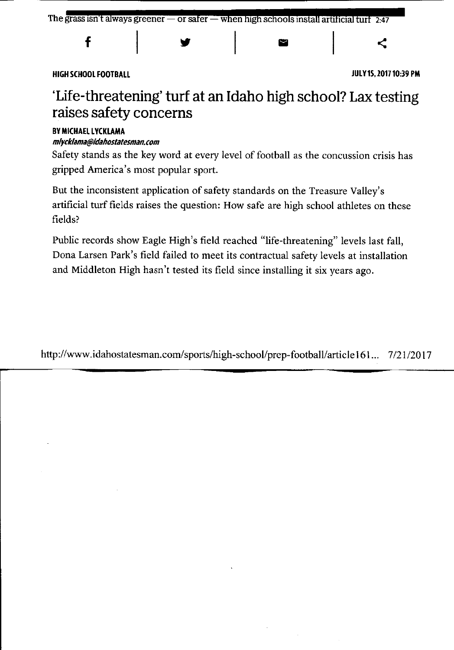#### **HIGH SCHOOL FOOTBALL JULY 15,201710:39 PM**

# **'Life-threatening' turf at an Idaho high school? Lax testing raises safety concerns**

#### **BY MICHAEL LYCKLAMA**

#### *[mlycklama@idahostates](mailto:mlycklama@idahostatesman.com)man.com*

Safety stands as the key word at every level of football as the concussion crisis has gripped America's most popular sport.

But the inconsistent application of safety standards on the Treasure Valley's artificial turf fields raises the question: How safe are high school athletes on these fields?

Public records show Eagle High's field reached "life-threatening" levels last fall, Dona Larsen Park's field failed to meet its contractual safety levels at installation and Middleton High hasn't tested its field since installing it six years ago.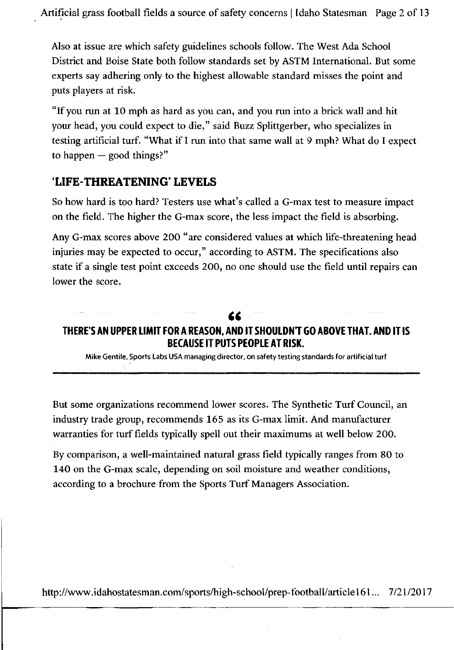Also at issue are which safety guidelines schools follow. The West Ada School District and Boise State both follow standards set by ASTM International. But some experts say adhering only to the highest allowable standard misses the point and puts players at risk.

"If you run at 10 mph as hard as you can, and you run into a brick wall and hit your head, you could expect to die," said Buzz Splittgerber, who specializes in testing artificial turf. "What if I run into that same wall at 9 mph? What do I expect to happen  $-$  good things?"

### **LIFE-THREATENING' LEVELS**

So how hard is too hard? Testers use what's called a G-max test to measure impact on the field. The higher the G-max score, the less impact the field is absorbing.

Any G-max scores above 200 "are considered values at which life-threatening head injuries may be expected to occur," according to ASTM. The specifications also state if a single test point exceeds 200, no one should use the field until repairs can lower the score.

### THERE'S AN UPPER LIMIT FOR A REASON, AND IT SHOULDN'T GO ABOVE THAT. AND IT IS BECAUSE IT PUTS PEOPLE AT RISK.

*u* 

Mike Gentile, Sports Labs USA managing director, on safety testing standards for artificial turf

But some organizations recommend lower scores. The Synthetic Turf Council, an industry trade group, recommends 165 as its G-max limit. And manufacturer warranties for turf fields typically spell out their maximums at well below 200.

By comparison, a well-maintained natural grass field typically ranges from 80 to 140 on the G-max scale, depending on soil moisture and weather conditions, according to a brochure from the Sports Turf Managers Association.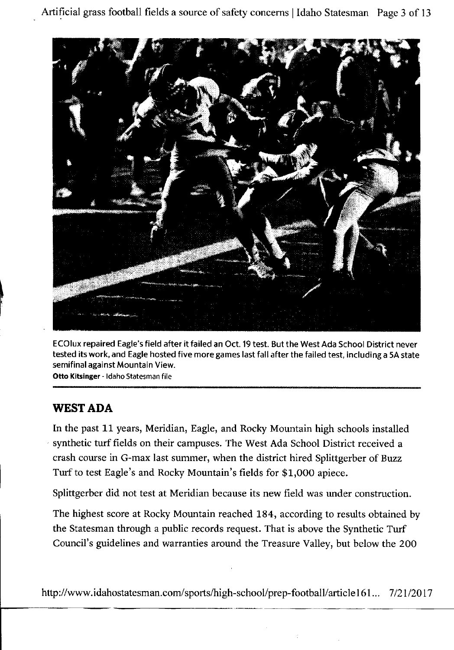

ECOlux repaired Eagle's field after it failed an Oct. 19 test. But the West Ada School District never tested its work, and Eagle hosted five more games last fall after the failed test, including a 5A state semifinal against Mountain View.

**Otto Kitsinger** - Idaho Statesman file

### **WEST ADA**

In the past 11 years, Meridian, Eagle, and Rocky Mountain high schools installed synthetic turf fields on their campuses. The West Ada School District received a crash course in G-max last summer, when the district hired Splittgerber of Buzz Turf to test Eagle's and Rocky Mountain's fields for \$1,000 apiece.

Splittgerber did not test at Meridian because its new field was under construction.

The highest score at Rocky Mountain reached 184, according to results obtained by the Statesman through a public records request. That is above the Synthetic Turf Council's guidelines and warranties around the Treasure Valley, but below the 200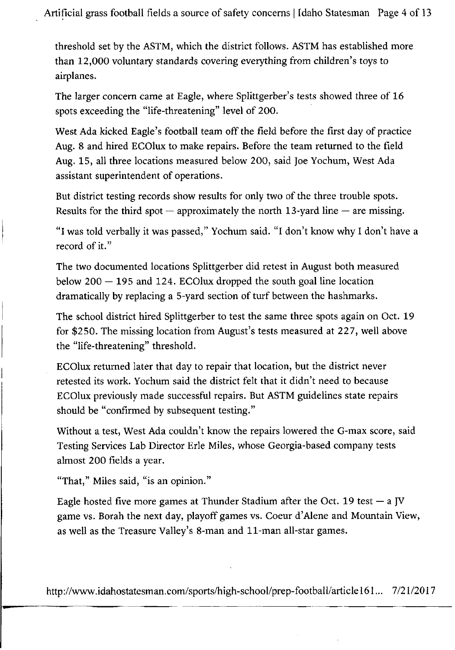threshold set by the ASTM, which the district follows. ASTM has established more than 12,000 voluntary standards covering everything from children's toys to airplanes.

The larger concern came at Eagle, where Splittgerber's tests showed three of 16 spots exceeding the "life-threatening" level of 200.

West Ada kicked Eagle's football team off the field before the first day of practice Aug. 8 and hired ECOlux to make repairs. Before the team returned to the field Aug. 15, all three locations measured below 200, said Joe Yochum, West Ada assistant superintendent of operations.

But district testing records show results for only two of the three trouble spots. Results for the third spot — approximately the north 13-yard line — are missing.

"I was told verbally it was passed," Yochum said. "I don't know why I don't have a record of it."

The two documented locations Splittgerber did retest in August both measured below  $200 - 195$  and 124. ECOlux dropped the south goal line location dramatically by replacing a 5-yard section of turf between the hashmarks.

The school district hired Splittgerber to test the same three spots again on Oct. 19 for \$250. The missing location from August's tests measured at 227, well above the "life-threatening" threshold.

ECOlux returned later that day to repair that location, but the district never retested its work. Yochum said the district felt that it didn't need to because ECOlux previously made successful repairs. But ASTM guidelines state repairs should be "confirmed by subsequent testing."

Without a test, West Ada couldn't know the repairs lowered the G-max score, said Testing Services Lab Director Erie Miles, whose Georgia-based company tests almost 200 fields a year.

"That," Miles said, "is an opinion."

Eagle hosted five more games at Thunder Stadium after the Oct. 19 test  $-$  a JV game vs. Borah the next day, playoff games vs. Coeur d'Alene and Mountain View, as well as the Treasure Valley's 8-man and 11-man all-star games.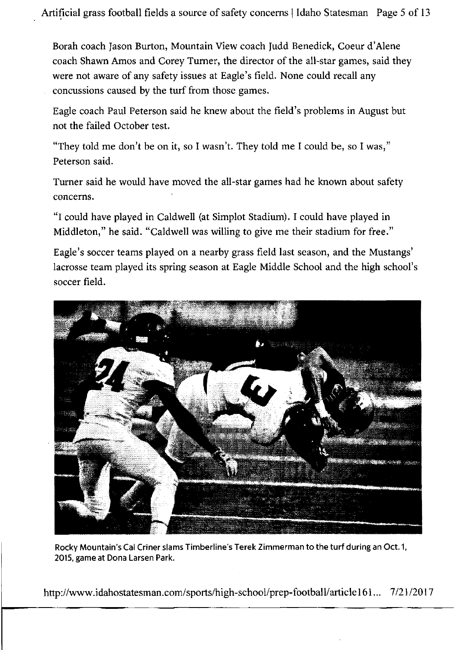Borah coach Jason Burton, Mountain View coach Judd Benedick, Coeur d'Alene coach Shawn Amos and Corey Turner, the director of the all-star games, said they were not aware of any safety issues at Eagle's field. None could recall any concussions caused by the turf from those games.

Eagle coach Paul Peterson said he knew about the field's problems in August but not the failed October test.

"They told me don't be on it, so I wasn't. They told me I could be, so I was," Peterson said.

Turner said he would have moved the all-star games had he known about safety concerns.

" I could have played in Caldwell (at Simplot Stadium). I could have played in Middleton," he said. "Caldwell was willing to give me their stadium for free."

Eagle's soccer teams played on a nearby grass field last season, and the Mustangs' lacrosse team played its spring season at Eagle Middle School and the high school's soccer field.



Rocky Mountain's Cal Criner slams Timberline's Terek Zimmerman to the turf during an Oct. 1, 2015, game at Dona Larsen Park.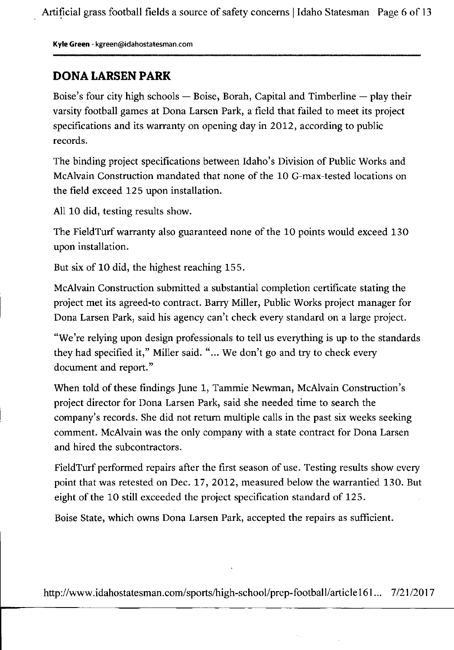**Kyle Green** - [kgreen@idahostatesman.com](mailto:kgreen@idahostatesman.com)

### **DONA LARSEN PARK**

Boise's four city high schools  $-$  Boise, Borah, Capital and Timberline  $-$  play their varsity football games at Dona Larsen Park, a field that failed to meet its project specifications and its warranty on opening day in 2012, according to public records.

The binding project specifications between Idaho's Division of Public Works and McAlvain Construction mandated that none of the 10 G-max-tested locations on the field exceed 125 upon installation.

All 10 did, testing results show.

The FieldTurf warranty also guaranteed none of the 10 points would exceed 130 upon installation.

But six of 10 did, the highest reaching 155.

McAlvain Construction submitted a substantial completion certificate stating the project met its agreed-to contract. Barry Miller, Public Works project manager for Dona Larsen Park, said his agency can't check every standard on a large project.

"We're relying upon design professionals to tell us everything is up to the standards they had specified it," Miller said. "... We don't go and try to check every document and report."

When told of these findings June 1, Tammie Newman, McAlvain Construction's project director for Dona Larsen Park, said she needed time to search the company's records. She did not return multiple calls in the past six weeks seeking comment. McAlvain was the only company with a state contract for Dona Larsen and hired the subcontractors.

FieldTurf performed repairs after the first season of use. Testing results show every point that was retested on Dec. 17, 2012, measured below the warrantied 130. But eight of the 10 still exceeded the project specification standard of 125.

Boise State, which owns Dona Larsen Park, accepted the repairs as sufficient.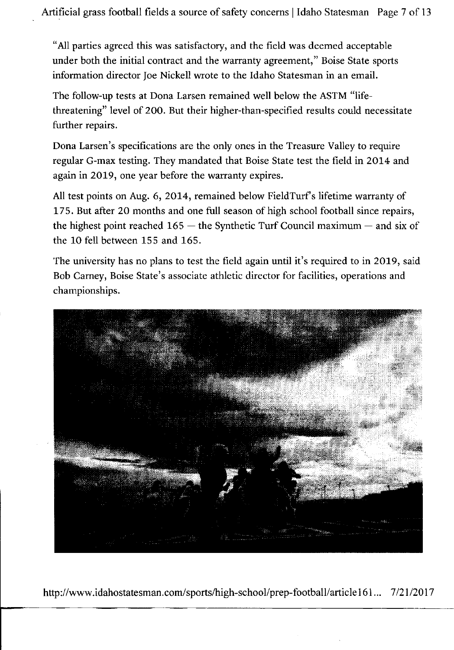"All parties agreed this was satisfactory, and the field was deemed acceptable under both the initial contract and the warranty agreement," Boise State sports information director Joe Nickell wrote to the Idaho Statesman in an email.

The follow-up tests at Dona Larsen remained well below the ASTM "lifethreatening" level of 200. But their higher-than-specified results could necessitate further repairs.

Dona Larsen's specifications are the only ones in the Treasure Valley to require regular G-max testing. They mandated that Boise State test the field in 2014 and again in 2019, one year before the warranty expires.

All test points on Aug. 6, 2014, remained below FieldTurf's lifetime warranty of 175. But after 20 months and one full season of high school football since repairs, the highest point reached  $165$  — the Synthetic Turf Council maximum — and six of the 10 fell between 155 and 165.

The university has no plans to test the field again until it's required to in 2019, said Bob Carney, Boise State's associate athletic director for facilities, operations and championships.

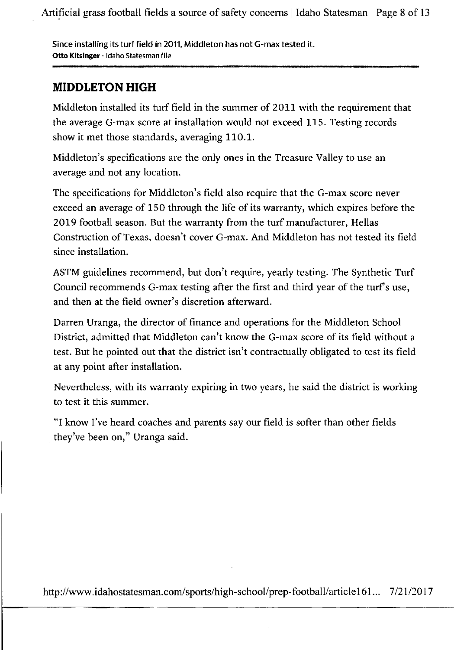Since installing its turf field in 2011, Middleton has not G-max tested it. **Otto Kitsinger** - Idaho Statesman file

### **MIDDLETON HIGH**

Middleton installed its turf field in the summer of 2011 with the requirement that the average G-max score at installation would not exceed 115. Testing records show it met those standards, averaging 110.1.

Middleton's specifications are the only ones in the Treasure Valley to use an average and not any location.

The specifications for Middleton's field also require that the G-max score never exceed an average of 150 through the life of its warranty, which expires before the 2019 football season. But the warranty from the turf manufacturer, Hellas Construction of Texas, doesn't cover G-max. And Middleton has not tested its field since installation.

ASTM guidelines recommend, but don't require, yearly testing. The Synthetic Turf Council recommends G-max testing after the first and third year of the turf's use, and then at the field owner's discretion afterward.

Darren Uranga, the director of finance and operations for the Middleton School District, admitted that Middleton can't know the G-max score of its field without a test. But he pointed out that the district isn't contractually obligated to test its field at any point after installation.

Nevertheless, with its warranty expiring in two years, he said the district is working to test it this summer.

" I know I've heard coaches and parents say our field is softer than other fields they've been on," Uranga said.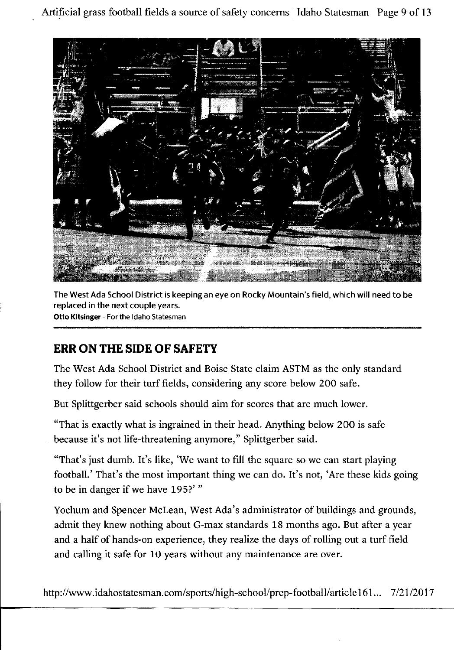

The West Ada School District is keeping an eye on Rocky Mountain's field, which will need to be replaced in the next couple years. **Otto Kitsinger** - For the Idaho Statesman

## **ERR ON THE SIDE OF SAFETY**

The West Ada School District and Boise State claim ASTM as the only standard they follow for their turf fields, considering any score below 200 safe.

But Splittgerber said schools should aim for scores that are much lower.

"That is exactly what is ingrained in their head. Anything below 200 is safe because it's not life-threatening anymore," Splittgerber said.

"That's just dumb. It's like, 'We want to fill the square so we can start playing football.' That's the most important thing we can do. It's not, 'Are these kids going to be in danger if we have 195?' "

Yochum and Spencer McLean, West Ada's administrator of buildings and grounds, admit they knew nothing about G-max standards 18 months ago. But after a year and a half of hands-on experience, they realize the days of rolling out a turf field and calling it safe for 10 years without any maintenance are over.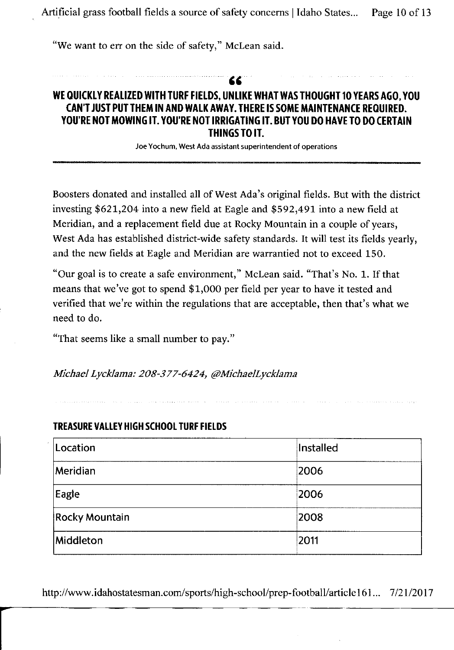Artificial grass football fields a source of safety concerns | Idaho States... Page 10 of 13

"We want to err on the side of safety," McLean said.

#### *u*  WE QUICKLY REALIZED WITH TURF FIELDS, UNLIKE WHAT WAS THOUGHT 10 YEARS AGO, YOU CAN'T JUST PUT THEM IN AND WALK AWAY. THERE IS SOME MAINTENANCE REQUIRED. YOU'RE NOT MOWING IT. YOU'RE NOT IRRIGATING IT. BUT YOU DO HAVE TO DO CERTAIN THINGS TO IT.

Joe Yochum, West Ada assistant superintendent of operations

Boosters donated and installed all of West Ada's original fields. But with the district investing \$621,204 into a new field at Eagle and \$592,491 into a new field at Meridian, and a replacement field due at Rocky Mountain in a couple of years, West Ada has established district-wide safety standards. It will test its fields yearly, and the new fields at Eagle and Meridian are warrantied not to exceed 150.

"Our goal is to create a safe environment," McLean said. "That's No. 1. If that means that we've got to spend \$1,000 per field per year to have it tested and verified that we're within the regulations that are acceptable, then that's what we need to do.

"That seems like a small number to pay."

*Michael Lycklama: 208-377-6424, @MichaelLycklama* 

### TREASURE VALLEY HIGH SCHOOL TURF FIELDS

| Location              | Installed |
|-----------------------|-----------|
| Meridian              | 2006      |
| <b>Eagle</b>          | 2006      |
| <b>Rocky Mountain</b> | 2008      |
| Middleton             | 2011      |